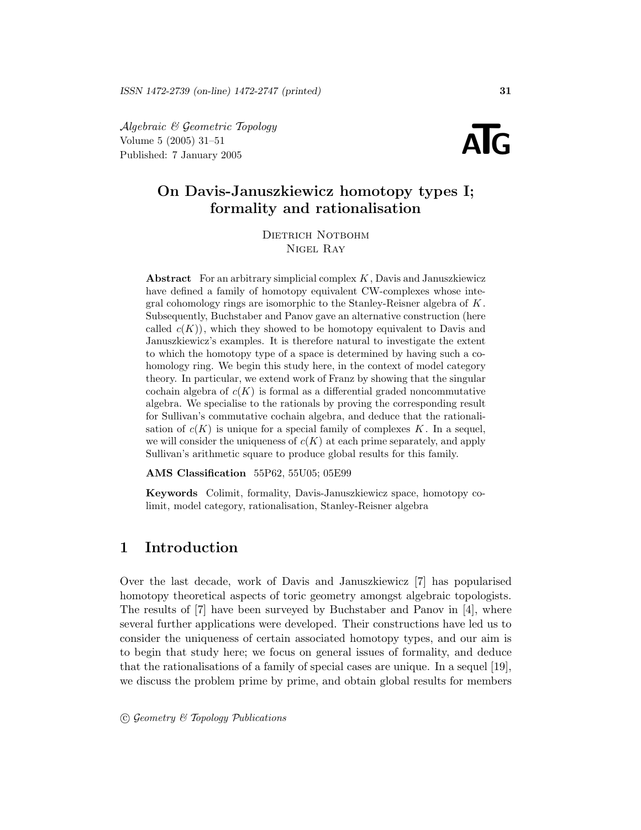Algebraic & Geometric Topology Volume 5 (2005) 31–51  $\mathcal{A}$ lgebraic & Geometric Topology<br>Volume 5 (2005) 31–51<br>Published: 7 January 2005

# On Davis-Januszkiewicz homotopy types I; formality and rationalisation

DIETRICH NOTBOHM Nigel Ray

Abstract For an arbitrary simplicial complex  $K$ , Davis and Januszkiewicz have defined a family of homotopy equivalent CW-complexes whose integral cohomology rings are isomorphic to the Stanley-Reisner algebra of  $K$ . Subsequently, Buchstaber and Panov gave an alternative construction (here called  $c(K)$ , which they showed to be homotopy equivalent to Davis and Januszkiewicz's examples. It is therefore natural to investigate the extent to which the homotopy type of a space is determined by having such a cohomology ring. We begin this study here, in the context of model category theory. In particular, we extend work of Franz by showing that the singular cochain algebra of  $c(K)$  is formal as a differential graded noncommutative algebra. We specialise to the rationals by proving the corresponding result for Sullivan's commutative cochain algebra, and deduce that the rationalisation of  $c(K)$  is unique for a special family of complexes K. In a sequel, we will consider the uniqueness of  $c(K)$  at each prime separately, and apply Sullivan's arithmetic square to produce global results for this family.

AMS Classification 55P62, 55U05; 05E99

Keywords Colimit, formality, Davis-Januszkiewicz space, homotopy colimit, model category, rationalisation, Stanley-Reisner algebra

# 1 Introduction

Over the last decade, work of Davis and Januszkiewicz [7] has popularised homotopy theoretical aspects of toric geometry amongst algebraic topologists. The results of [7] have been surveyed by Buchstaber and Panov in [4], where several further applications were developed. Their constructions have led us to consider the uniqueness of certain associated homotopy types, and our aim is to begin that study here; we focus on general issues of formality, and deduce that the rationalisations of a family of special cases are unique. In a sequel [19], we discuss the problem prime by prime, and obtain global results for members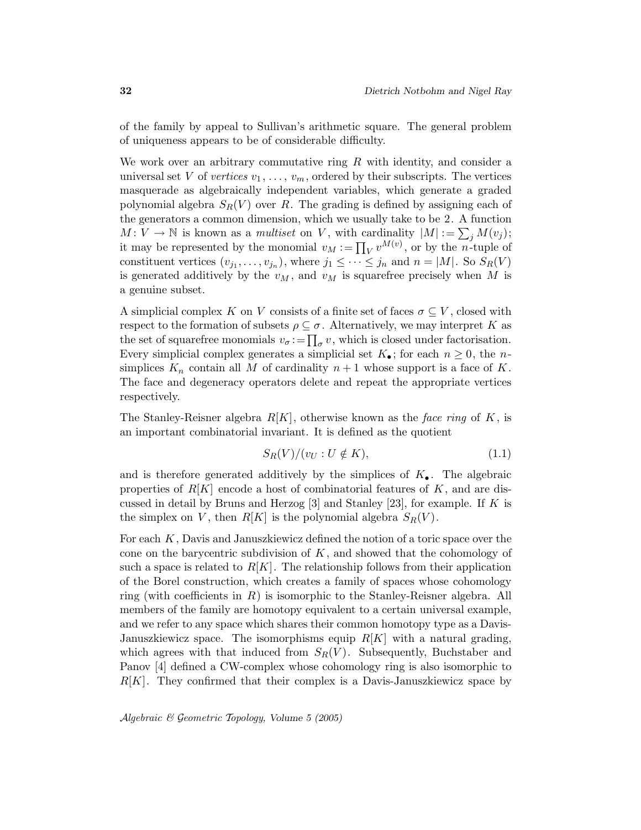of the family by appeal to Sullivan's arithmetic square. The general problem of uniqueness appears to be of considerable difficulty.

We work over an arbitrary commutative ring  $R$  with identity, and consider a universal set V of vertices  $v_1, \ldots, v_m$ , ordered by their subscripts. The vertices masquerade as algebraically independent variables, which generate a graded polynomial algebra  $S_R(V)$  over R. The grading is defined by assigning each of the generators a common dimension, which we usually take to be 2. A function  $M: V \to \mathbb{N}$  is known as a *multiset* on V, with cardinality  $|M| := \sum_j M(v_j);$ it may be represented by the monomial  $v_M := \prod_V v^{M(v)}$ , or by the *n*-tuple of constituent vertices  $(v_{j_1},...,v_{j_n})$ , where  $j_1 \leq \cdots \leq j_n$  and  $n = |M|$ . So  $S_R(V)$ is generated additively by the  $v_M$ , and  $v_M$  is squarefree precisely when M is a genuine subset.

A simplicial complex K on V consists of a finite set of faces  $\sigma \subseteq V$ , closed with respect to the formation of subsets  $\rho \subseteq \sigma$ . Alternatively, we may interpret K as the set of squarefree monomials  $v_{\sigma}$ : $= \prod_{\sigma} v$ , which is closed under factorisation. Every simplicial complex generates a simplicial set  $K_{\bullet}$ ; for each  $n \geq 0$ , the nsimplices  $K_n$  contain all M of cardinality  $n+1$  whose support is a face of K. The face and degeneracy operators delete and repeat the appropriate vertices respectively.

The Stanley-Reisner algebra  $R[K]$ , otherwise known as the face ring of K, is an important combinatorial invariant. It is defined as the quotient

$$
S_R(V)/(v_U: U \notin K),\tag{1.1}
$$

and is therefore generated additively by the simplices of  $K_{\bullet}$ . The algebraic properties of  $R[K]$  encode a host of combinatorial features of K, and are discussed in detail by Bruns and Herzog  $[3]$  and Stanley  $[23]$ , for example. If K is the simplex on V, then  $R[K]$  is the polynomial algebra  $S_R(V)$ .

For each K, Davis and Januszkiewicz defined the notion of a toric space over the cone on the barycentric subdivision of  $K$ , and showed that the cohomology of such a space is related to  $R[K]$ . The relationship follows from their application of the Borel construction, which creates a family of spaces whose cohomology ring (with coefficients in  $R$ ) is isomorphic to the Stanley-Reisner algebra. All members of the family are homotopy equivalent to a certain universal example, and we refer to any space which shares their common homotopy type as a Davis-Januszkiewicz space. The isomorphisms equip  $R[K]$  with a natural grading, which agrees with that induced from  $S_R(V)$ . Subsequently, Buchstaber and Panov [4] defined a CW-complex whose cohomology ring is also isomorphic to  $R[K]$ . They confirmed that their complex is a Davis-Januszkiewicz space by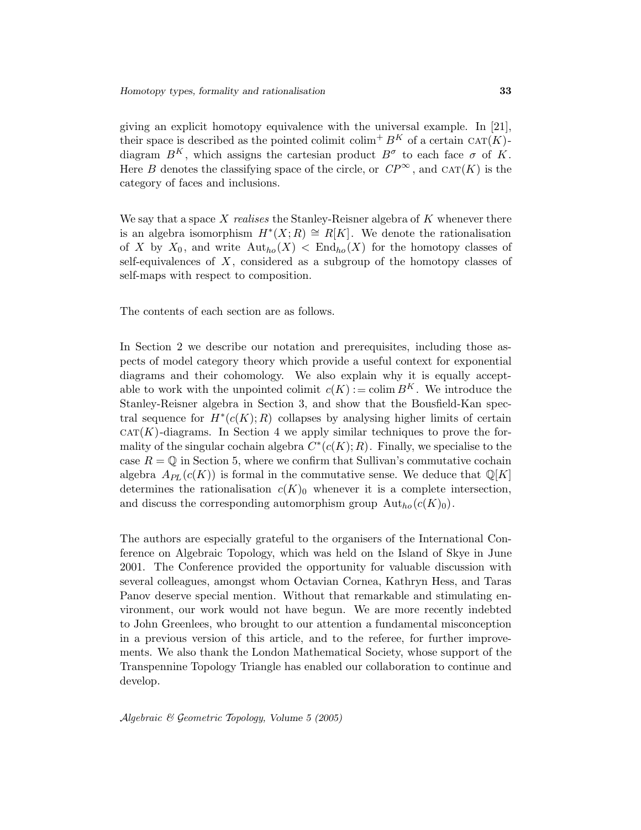giving an explicit homotopy equivalence with the universal example. In [21], their space is described as the pointed colimit colim<sup>+</sup>  $B<sup>K</sup>$  of a certain CAT(K)diagram  $B<sup>K</sup>$ , which assigns the cartesian product  $B<sup>\sigma</sup>$  to each face  $\sigma$  of K. Here B denotes the classifying space of the circle, or  $CP^{\infty}$ , and  $CAT(K)$  is the category of faces and inclusions.

We say that a space  $X$  realises the Stanley-Reisner algebra of  $K$  whenever there is an algebra isomorphism  $H^*(X;R) \cong R[K]$ . We denote the rationalisation of X by  $X_0$ , and write  $\text{Aut}_{ho}(X) < \text{End}_{ho}(X)$  for the homotopy classes of self-equivalences of  $X$ , considered as a subgroup of the homotopy classes of self-maps with respect to composition.

The contents of each section are as follows.

In Section 2 we describe our notation and prerequisites, including those aspects of model category theory which provide a useful context for exponential diagrams and their cohomology. We also explain why it is equally acceptable to work with the unpointed colimit  $c(K) := \text{colim } B^K$ . We introduce the Stanley-Reisner algebra in Section 3, and show that the Bousfield-Kan spectral sequence for  $H^*(c(K); R)$  collapses by analysing higher limits of certain  $CAT(K)$ -diagrams. In Section 4 we apply similar techniques to prove the formality of the singular cochain algebra  $C^*(c(K); R)$ . Finally, we specialise to the case  $R = \mathbb{Q}$  in Section 5, where we confirm that Sullivan's commutative cochain algebra  $A_{PL}(c(K))$  is formal in the commutative sense. We deduce that  $\mathbb{Q}[K]$ determines the rationalisation  $c(K)_0$  whenever it is a complete intersection, and discuss the corresponding automorphism group  $\text{Aut}_{ho}(c(K_0)).$ 

The authors are especially grateful to the organisers of the International Conference on Algebraic Topology, which was held on the Island of Skye in June 2001. The Conference provided the opportunity for valuable discussion with several colleagues, amongst whom Octavian Cornea, Kathryn Hess, and Taras Panov deserve special mention. Without that remarkable and stimulating environment, our work would not have begun. We are more recently indebted to John Greenlees, who brought to our attention a fundamental misconception in a previous version of this article, and to the referee, for further improvements. We also thank the London Mathematical Society, whose support of the Transpennine Topology Triangle has enabled our collaboration to continue and develop.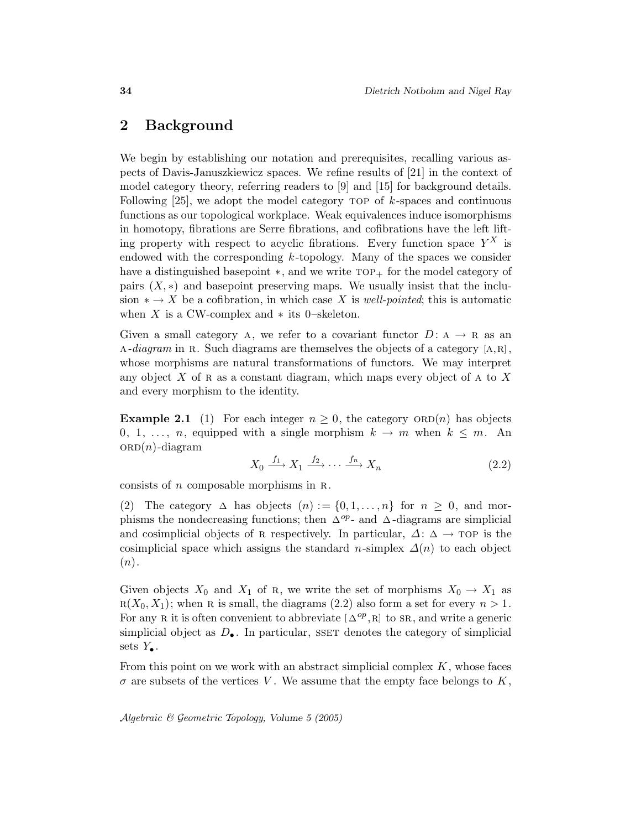# 2 Background

We begin by establishing our notation and prerequisites, recalling various aspects of Davis-Januszkiewicz spaces. We refine results of [21] in the context of model category theory, referring readers to [9] and [15] for background details. Following  $[25]$ , we adopt the model category TOP of k-spaces and continuous functions as our topological workplace. Weak equivalences induce isomorphisms in homotopy, fibrations are Serre fibrations, and cofibrations have the left lifting property with respect to acyclic fibrations. Every function space  $Y^X$  is endowed with the corresponding k-topology. Many of the spaces we consider have a distinguished basepoint  $\ast$ , and we write  $TOP_+$  for the model category of pairs  $(X, *)$  and basepoint preserving maps. We usually insist that the inclusion  $* \to X$  be a cofibration, in which case X is well-pointed; this is automatic when X is a CW-complex and  $*$  its 0–skeleton.

Given a small category A, we refer to a covariant functor  $D: A \rightarrow R$  as an A-diagram in R. Such diagrams are themselves the objects of a category  $[A,R]$ , whose morphisms are natural transformations of functors. We may interpret any object  $X$  of R as a constant diagram, which maps every object of A to  $X$ and every morphism to the identity.

**Example 2.1** (1) For each integer  $n \geq 0$ , the category  $ORD(n)$  has objects 0, 1, ..., n, equipped with a single morphism  $k \to m$  when  $k \leq m$ . An  $ORD(n)$ -diagram

$$
X_0 \xrightarrow{f_1} X_1 \xrightarrow{f_2} \cdots \xrightarrow{f_n} X_n \tag{2.2}
$$

consists of  $n$  composable morphisms in R.

(2) The category  $\Delta$  has objects  $(n) := \{0, 1, ..., n\}$  for  $n \geq 0$ , and morphisms the nondecreasing functions; then  $\Delta^{op}$ - and  $\Delta$ -diagrams are simplicial and cosimplicial objects of R respectively. In particular,  $\Delta: \Delta \rightarrow \text{TOP}$  is the cosimplicial space which assigns the standard n-simplex  $\Delta(n)$  to each object  $(n).$ 

Given objects  $X_0$  and  $X_1$  of R, we write the set of morphisms  $X_0 \to X_1$  as  $R(X_0, X_1)$ ; when R is small, the diagrams (2.2) also form a set for every  $n > 1$ . For any R it is often convenient to abbreviate  $[\Delta^{op}, R]$  to SR, and write a generic simplicial object as  $D_{\bullet}$ . In particular, SSET denotes the category of simplicial sets  $Y_{\bullet}$ .

From this point on we work with an abstract simplicial complex  $K$ , whose faces  $\sigma$  are subsets of the vertices V. We assume that the empty face belongs to K,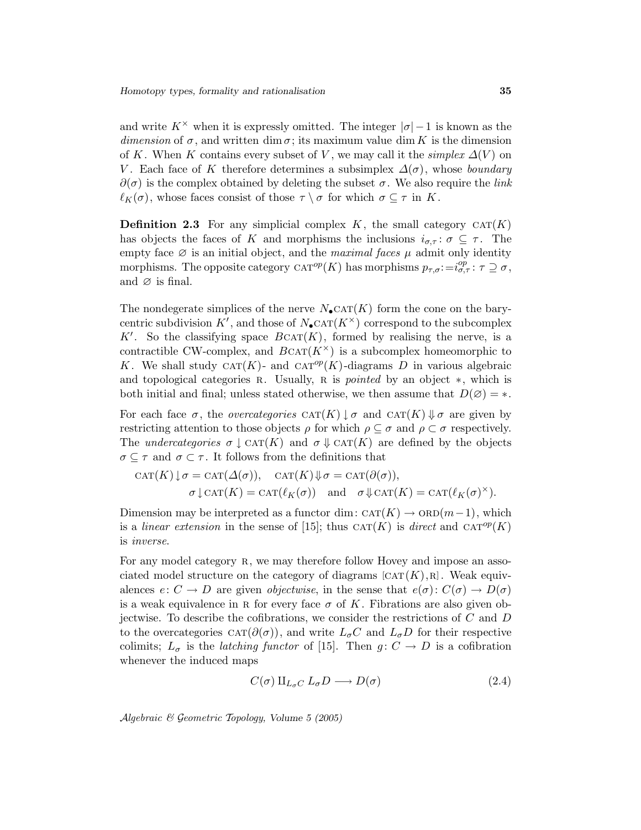and write  $K^{\times}$  when it is expressly omitted. The integer  $|\sigma|-1$  is known as the dimension of  $\sigma$ , and written dim  $\sigma$ ; its maximum value dim K is the dimension of K. When K contains every subset of V, we may call it the simplex  $\Delta(V)$  on V. Each face of K therefore determines a subsimplex  $\Delta(\sigma)$ , whose boundary  $\partial(\sigma)$  is the complex obtained by deleting the subset  $\sigma$ . We also require the *link*  $\ell_K(\sigma)$ , whose faces consist of those  $\tau \setminus \sigma$  for which  $\sigma \subseteq \tau$  in K.

**Definition 2.3** For any simplicial complex K, the small category  $CAT(K)$ has objects the faces of K and morphisms the inclusions  $i_{\sigma,\tau}$ :  $\sigma \subseteq \tau$ . The empty face  $\varnothing$  is an initial object, and the *maximal faces*  $\mu$  admit only identity morphisms. The opposite category  $CAT^{op}(K)$  has morphisms  $p_{\tau,\sigma}:=i^{op}_{\sigma,\tau}:\tau\supseteq\sigma$ , and  $\varnothing$  is final.

The nondegerate simplices of the nerve  $N_{\bullet}$ CAT $(K)$  form the cone on the barycentric subdivision  $K'$ , and those of  $N_{\bullet}$ CAT $(K^{\times})$  correspond to the subcomplex K'. So the classifying space  $B\text{CAT}(K)$ , formed by realising the nerve, is a contractible CW-complex, and  $BCAT(K^{\times})$  is a subcomplex homeomorphic to K. We shall study CAT(K)- and CAT<sup>op</sup>(K)-diagrams D in various algebraic and topological categories  $R$ . Usually,  $R$  is *pointed* by an object  $*$ , which is both initial and final; unless stated otherwise, we then assume that  $D(\emptyset) = *$ .

For each face  $\sigma$ , the *overcategories*  $\text{CAT}(K) \downarrow \sigma$  and  $\text{CAT}(K) \downarrow \sigma$  are given by restricting attention to those objects  $\rho$  for which  $\rho \subseteq \sigma$  and  $\rho \subset \sigma$  respectively. The *undercategories*  $\sigma \downarrow$  CAT(K) and  $\sigma \downarrow$  CAT(K) are defined by the objects  $\sigma \subseteq \tau$  and  $\sigma \subset \tau$ . It follows from the definitions that

$$
CAT(K) \downarrow \sigma = CAT(\Delta(\sigma)), \quad CAT(K) \downarrow \sigma = CAT(\partial(\sigma)),
$$

$$
\sigma \downarrow \text{CAT}(K) = CAT(\ell_K(\sigma)) \quad \text{and} \quad \sigma \downarrow \text{CAT}(K) = CAT(\ell_K(\sigma)^{\times}).
$$

Dimension may be interpreted as a functor dim:  $CAT(K) \rightarrow ORD(m-1)$ , which is a linear extension in the sense of [15]; thus  $\text{CAT}(K)$  is direct and  $\text{CAT}^{op}(K)$ is inverse.

For any model category R, we may therefore follow Hovey and impose an associated model structure on the category of diagrams  $[CAT(K),R]$ . Weak equivalences  $e: C \to D$  are given *objectwise*, in the sense that  $e(\sigma): C(\sigma) \to D(\sigma)$ is a weak equivalence in R for every face  $\sigma$  of K. Fibrations are also given objectwise. To describe the cofibrations, we consider the restrictions of C and D to the overcategories  $CAT(\partial(\sigma))$ , and write  $L_{\sigma}C$  and  $L_{\sigma}D$  for their respective colimits;  $L_{\sigma}$  is the *latching functor* of [15]. Then  $g: C \to D$  is a cofibration whenever the induced maps

$$
C(\sigma) \amalg_{L_{\sigma}C} L_{\sigma} D \longrightarrow D(\sigma) \tag{2.4}
$$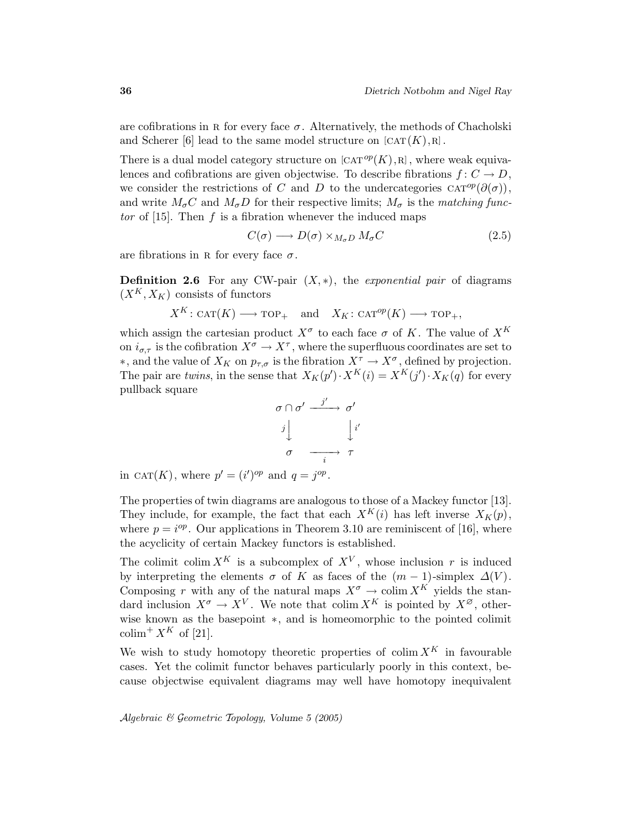are cofibrations in R for every face  $\sigma$ . Alternatively, the methods of Chacholski and Scherer [6] lead to the same model structure on  $[CAT(K),R]$ .

There is a dual model category structure on  $[CAT^{op}(K),R]$ , where weak equivalences and cofibrations are given objectwise. To describe fibrations  $f: C \to D$ , we consider the restrictions of C and D to the undercategories  $CAT^{op}(\partial(\sigma))$ , and write  $M_{\sigma}C$  and  $M_{\sigma}D$  for their respective limits;  $M_{\sigma}$  is the matching functor of  $[15]$ . Then f is a fibration whenever the induced maps

$$
C(\sigma) \longrightarrow D(\sigma) \times_{M_{\sigma}D} M_{\sigma}C \tag{2.5}
$$

are fibrations in R for every face  $\sigma$ .

**Definition 2.6** For any CW-pair  $(X, *)$ , the *exponential pair* of diagrams  $(X^K, X_K)$  consists of functors

$$
X^K
$$
:  $\text{CAT}(K) \longrightarrow \text{TOP}_+$  and  $X_K$ :  $\text{CAT}^{op}(K) \longrightarrow \text{TOP}_+$ ,

which assign the cartesian product  $X^{\sigma}$  to each face  $\sigma$  of K. The value of  $X^{K}$ on  $i_{\sigma,\tau}$  is the cofibration  $X^{\sigma} \to X^{\tau}$ , where the superfluous coordinates are set to  $*$ , and the value of  $X_K$  on  $p_{\tau,\sigma}$  is the fibration  $X^{\tau} \to X^{\sigma}$ , defined by projection. The pair are twins, in the sense that  $X_K(p') \cdot X^K(i) = X^K(j') \cdot X_K(q)$  for every pullback square

$$
\begin{array}{ccc}\n\sigma \cap \sigma' & \xrightarrow{j'} & \sigma' \\
j \downarrow & & \downarrow i' \\
\sigma & \xrightarrow{i} & \tau\n\end{array}
$$

in CAT(K), where  $p' = (i')^{op}$  and  $q = j^{op}$ .

The properties of twin diagrams are analogous to those of a Mackey functor [13]. They include, for example, the fact that each  $X^K(i)$  has left inverse  $X_K(p)$ , where  $p = i^{op}$ . Our applications in Theorem 3.10 are reminiscent of [16], where the acyclicity of certain Mackey functors is established.

The colimit colim  $X^K$  is a subcomplex of  $X^V$ , whose inclusion r is induced by interpreting the elements  $\sigma$  of K as faces of the  $(m-1)$ -simplex  $\Delta(V)$ . Composing r with any of the natural maps  $X^{\sigma} \to \text{colim } X^{K}$  yields the standard inclusion  $X^{\sigma} \to X^{V}$ . We note that colim  $X^{K}$  is pointed by  $X^{\varnothing}$ , otherwise known as the basepoint ∗, and is homeomorphic to the pointed colimit colim<sup>+</sup>  $X^K$  of [21].

We wish to study homotopy theoretic properties of colim  $X^K$  in favourable cases. Yet the colimit functor behaves particularly poorly in this context, because objectwise equivalent diagrams may well have homotopy inequivalent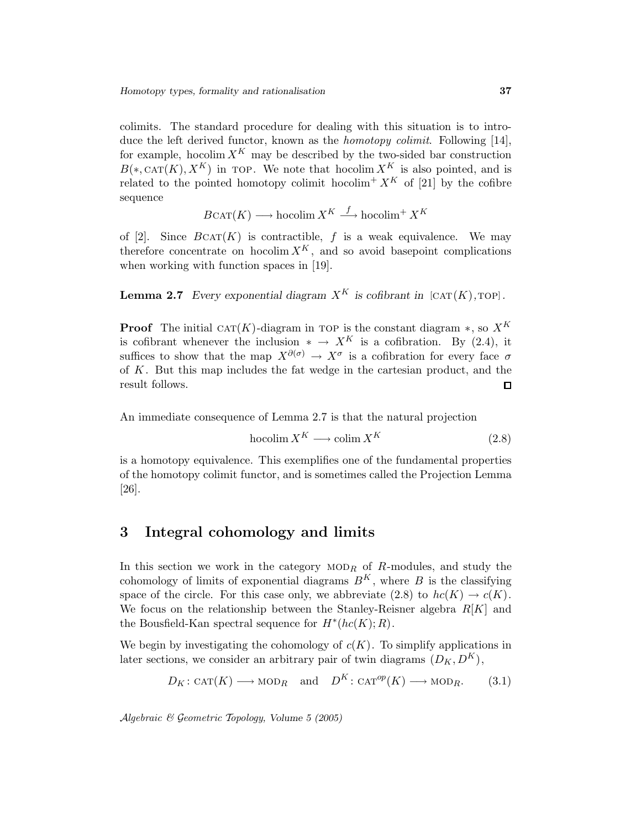colimits. The standard procedure for dealing with this situation is to introduce the left derived functor, known as the *homotopy colimit*. Following [14], for example, hocolim  $X^K$  may be described by the two-sided bar construction  $B(*, \text{CAT}(K), X^K)$  in TOP. We note that hocolim  $X^K$  is also pointed, and is related to the pointed homotopy colimit hocolim<sup>+</sup>  $X^K$  of [21] by the cofibre sequence

$$
B\text{CAT}(K) \longrightarrow \text{hocolim } X^K \stackrel{f}{\longrightarrow} \text{hocolim}^+ X^K
$$

of [2]. Since  $B\text{CAT}(K)$  is contractible, f is a weak equivalence. We may therefore concentrate on hocolim  $X^K$ , and so avoid basepoint complications when working with function spaces in [19].

**Lemma 2.7** Every exponential diagram  $X^K$  is cofibrant in  $[CAT(K),TOP]$ .

**Proof** The initial CAT(K)-diagram in TOP is the constant diagram  $*$ , so  $X^K$ is cofibrant whenever the inclusion  $* \to X^K$  is a cofibration. By (2.4), it suffices to show that the map  $X^{\partial(\sigma)} \to X^{\sigma}$  is a cofibration for every face  $\sigma$ of K. But this map includes the fat wedge in the cartesian product, and the result follows.  $\Box$ 

An immediate consequence of Lemma 2.7 is that the natural projection

$$
hocolim X^K \longrightarrow colim X^K \tag{2.8}
$$

is a homotopy equivalence. This exemplifies one of the fundamental properties of the homotopy colimit functor, and is sometimes called the Projection Lemma [26].

# 3 Integral cohomology and limits

In this section we work in the category  $MOD_R$  of R-modules, and study the cohomology of limits of exponential diagrams  $B<sup>K</sup>$ , where B is the classifying space of the circle. For this case only, we abbreviate  $(2.8)$  to  $hc(K) \rightarrow c(K)$ . We focus on the relationship between the Stanley-Reisner algebra  $R[K]$  and the Bousfield-Kan spectral sequence for  $H^*(hc(K); R)$ .

We begin by investigating the cohomology of  $c(K)$ . To simplify applications in later sections, we consider an arbitrary pair of twin diagrams  $(D_K, D^K)$ ,

$$
D_K: \text{CAT}(K) \longrightarrow \text{MOD}_R \text{ and } D^K: \text{CAT}^{op}(K) \longrightarrow \text{MOD}_R.
$$
 (3.1)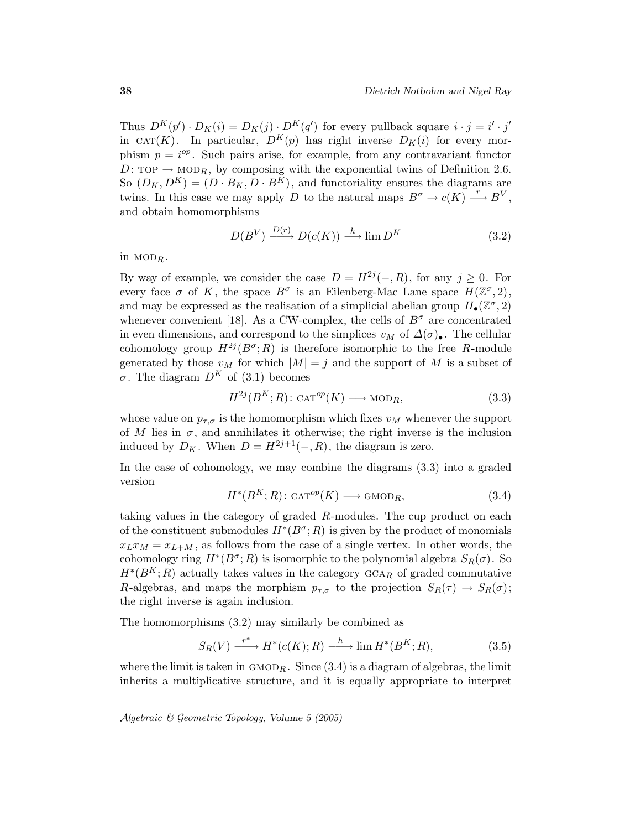Thus  $D^K(p') \cdot D_K(i) = D_K(j) \cdot D^K(q')$  for every pullback square  $i \cdot j = i' \cdot j'$ in CAT(K). In particular,  $D^{K}(p)$  has right inverse  $D_{K}(i)$  for every morphism  $p = i^{op}$ . Such pairs arise, for example, from any contravariant functor D: TOP  $\rightarrow$  MOD<sub>R</sub>, by composing with the exponential twins of Definition 2.6. So  $(D_K, D^K) = (D \cdot B_K, D \cdot B^K)$ , and functoriality ensures the diagrams are twins. In this case we may apply D to the natural maps  $B^{\sigma} \to c(K) \stackrel{r}{\longrightarrow} B^V$ , and obtain homomorphisms

$$
D(B^V) \xrightarrow{D(r)} D(c(K)) \xrightarrow{h} \lim D^K
$$
 (3.2)

in  $\text{MOD}_R$ .

By way of example, we consider the case  $D = H^{2j}(-, R)$ , for any  $j \geq 0$ . For every face  $\sigma$  of K, the space  $B^{\sigma}$  is an Eilenberg-Mac Lane space  $H(\mathbb{Z}^{\sigma},2)$ , and may be expressed as the realisation of a simplicial abelian group  $H_{\bullet}(\mathbb{Z}^{\sigma}, 2)$ whenever convenient [18]. As a CW-complex, the cells of  $B^{\sigma}$  are concentrated in even dimensions, and correspond to the simplices  $v_M$  of  $\Delta(\sigma)$ . The cellular cohomology group  $H^{2j}(B^{\sigma};R)$  is therefore isomorphic to the free R-module generated by those  $v_M$  for which  $|M| = j$  and the support of M is a subset of σ. The diagram  $D<sup>K</sup>$  of (3.1) becomes

$$
H^{2j}(B^K;R): \text{CAT}^{op}(K) \longrightarrow \text{MOD}_R,\tag{3.3}
$$

whose value on  $p_{\tau,\sigma}$  is the homomorphism which fixes  $v_M$  whenever the support of M lies in  $\sigma$ , and annihilates it otherwise; the right inverse is the inclusion induced by  $D_K$ . When  $D = H^{2j+1}(-, R)$ , the diagram is zero.

In the case of cohomology, we may combine the diagrams (3.3) into a graded version

$$
H^*(B^K;R): \text{CAT}^{op}(K) \longrightarrow \text{GMOD}_R,\tag{3.4}
$$

taking values in the category of graded R-modules. The cup product on each of the constituent submodules  $H^*(B^{\sigma};R)$  is given by the product of monomials  $x_Lx_M = x_{L+M}$ , as follows from the case of a single vertex. In other words, the cohomology ring  $H^*(B^{\sigma};R)$  is isomorphic to the polynomial algebra  $S_R(\sigma)$ . So  $H^*(B^K;R)$  actually takes values in the category  $GCA_R$  of graded commutative R-algebras, and maps the morphism  $p_{\tau,\sigma}$  to the projection  $S_R(\tau) \to S_R(\sigma)$ ; the right inverse is again inclusion.

The homomorphisms (3.2) may similarly be combined as

$$
S_R(V) \xrightarrow{r^*} H^*(c(K);R) \xrightarrow{h} \lim H^*(B^K;R), \tag{3.5}
$$

where the limit is taken in  $GMOD_R$ . Since  $(3.4)$  is a diagram of algebras, the limit inherits a multiplicative structure, and it is equally appropriate to interpret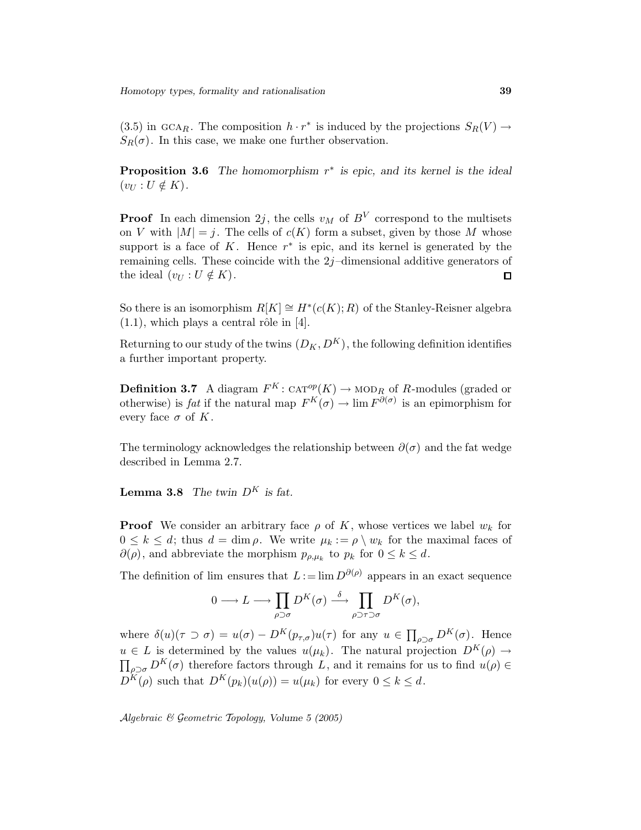(3.5) in GCAR. The composition  $h \cdot r^*$  is induced by the projections  $S_R(V) \to$  $S_R(\sigma)$ . In this case, we make one further observation.

**Proposition 3.6** The homomorphism  $r^*$  is epic, and its kernel is the ideal  $(v_U : U \notin K)$ .

**Proof** In each dimension  $2j$ , the cells  $v_M$  of  $B^V$  correspond to the multisets on V with  $|M| = j$ . The cells of  $c(K)$  form a subset, given by those M whose support is a face of  $K$ . Hence  $r^*$  is epic, and its kernel is generated by the remaining cells. These coincide with the  $2j$ -dimensional additive generators of the ideal  $(v_U : U \notin K)$ .  $\square$ 

So there is an isomorphism  $R[K] \cong H^*(c(K); R)$  of the Stanley-Reisner algebra  $(1.1)$ , which plays a central rôle in [4].

Returning to our study of the twins  $(D_K, D^K)$ , the following definition identifies a further important property.

**Definition 3.7** A diagram  $F^K$ : CAT<sup>op</sup>(K)  $\rightarrow$  MOD<sub>R</sub> of R-modules (graded or otherwise) is *fat* if the natural map  $F^K(\sigma) \to \lim F^{\partial(\sigma)}$  is an epimorphism for every face  $\sigma$  of K.

The terminology acknowledges the relationship between  $\partial(\sigma)$  and the fat wedge described in Lemma 2.7.

**Lemma 3.8** The twin  $D^K$  is fat.

**Proof** We consider an arbitrary face  $\rho$  of K, whose vertices we label  $w_k$  for  $0 \leq k \leq d$ ; thus  $d = \dim \rho$ . We write  $\mu_k := \rho \setminus w_k$  for the maximal faces of  $\partial(\rho)$ , and abbreviate the morphism  $p_{\rho,\mu_k}$  to  $p_k$  for  $0 \leq k \leq d$ .

The definition of lim ensures that  $L := \lim D^{\partial(\rho)}$  appears in an exact sequence

$$
0 \longrightarrow L \longrightarrow \prod_{\rho \supset \sigma} D^{K}(\sigma) \stackrel{\delta}{\longrightarrow} \prod_{\rho \supset \tau \supset \sigma} D^{K}(\sigma),
$$

where  $\delta(u)(\tau \supset \sigma) = u(\sigma) - D^K(p_{\tau,\sigma})u(\tau)$  for any  $u \in \prod_{\rho \supset \sigma} D^K(\sigma)$ . Hence  $u \in L$  is determined by the values  $u(\mu_k)$ . The natural projection  $D^K(\rho) \to$  $\prod_{\rho \supset \sigma} D^{K}(\sigma)$  therefore factors through L, and it remains for us to find  $u(\rho) \in$  $D^{K}(\rho)$  such that  $D^{K}(p_{k})(u(\rho)) = u(\mu_{k})$  for every  $0 \leq k \leq d$ .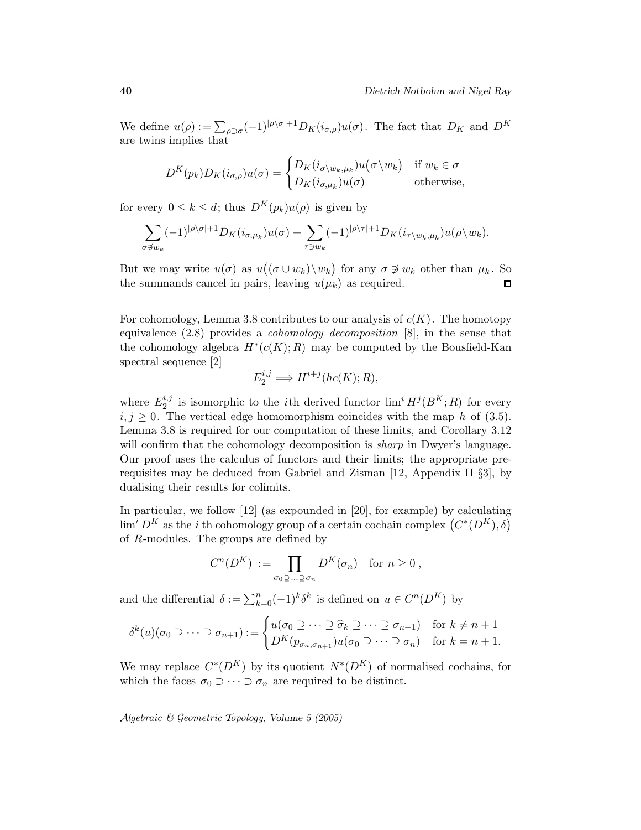We define  $u(\rho) := \sum_{\rho \supset \sigma} (-1)^{|\rho| \sigma|+1} D_K(i_{\sigma,\rho}) u(\sigma)$ . The fact that  $D_K$  and  $D^K$ are twins implies that

$$
D^{K}(p_{k})D_{K}(i_{\sigma,\rho})u(\sigma) = \begin{cases} D_{K}(i_{\sigma\setminus w_{k},\mu_{k}})u(\sigma\setminus w_{k}) & \text{if } w_{k} \in \sigma \\ D_{K}(i_{\sigma,\mu_{k}})u(\sigma) & \text{otherwise,} \end{cases}
$$

for every  $0 \leq k \leq d$ ; thus  $D^{K}(p_{k})u(\rho)$  is given by

$$
\sum_{\sigma \not\supset w_k} (-1)^{|\rho\backslash \sigma|+1} D_K(i_{\sigma,\mu_k}) u(\sigma) + \sum_{\tau \ni w_k} (-1)^{|\rho\backslash \tau|+1} D_K(i_{\tau \backslash w_k,\mu_k}) u(\rho \backslash w_k).
$$

But we may write  $u(\sigma)$  as  $u((\sigma \cup w_k) \setminus w_k)$  for any  $\sigma \not\ni w_k$  other than  $\mu_k$ . So the summands cancel in pairs, leaving  $u(\mu_k)$  as required.  $\square$ 

For cohomology, Lemma 3.8 contributes to our analysis of  $c(K)$ . The homotopy equivalence (2.8) provides a cohomology decomposition [8], in the sense that the cohomology algebra  $H^*(c(K); R)$  may be computed by the Bousfield-Kan spectral sequence [2]

$$
E_2^{i,j}\Longrightarrow H^{i+j}(hc(K);R),
$$

where  $E_2^{i,j}$  $i,j$  is isomorphic to the *i*th derived functor  $\lim^i H^j(B^K;R)$  for every  $i, j \geq 0$ . The vertical edge homomorphism coincides with the map h of (3.5). Lemma 3.8 is required for our computation of these limits, and Corollary 3.12 will confirm that the cohomology decomposition is *sharp* in Dwyer's language. Our proof uses the calculus of functors and their limits; the appropriate prerequisites may be deduced from Gabriel and Zisman [12, Appendix II §3], by dualising their results for colimits.

In particular, we follow [12] (as expounded in [20], for example) by calculating  $\lim^i D^K$  as the *i* th cohomology group of a certain cochain complex  $(C^*(D^K), \delta)$ of R-modules. The groups are defined by

$$
C^n(D^K) := \prod_{\sigma_0 \supseteq \ldots \supseteq \sigma_n} D^K(\sigma_n) \text{ for } n \ge 0,
$$

and the differential  $\delta := \sum_{k=0}^{n} (-1)^{k} \delta^{k}$  is defined on  $u \in C^{n}(D^{K})$  by

$$
\delta^k(u)(\sigma_0 \supseteq \cdots \supseteq \sigma_{n+1}) := \begin{cases} u(\sigma_0 \supseteq \cdots \supseteq \widehat{\sigma}_k \supseteq \cdots \supseteq \sigma_{n+1}) & \text{for } k \neq n+1 \\ D^K(p_{\sigma_n, \sigma_{n+1}})u(\sigma_0 \supseteq \cdots \supseteq \sigma_n) & \text{for } k = n+1. \end{cases}
$$

We may replace  $C^*(D^K)$  by its quotient  $N^*(D^K)$  of normalised cochains, for which the faces  $\sigma_0 \supset \cdots \supset \sigma_n$  are required to be distinct.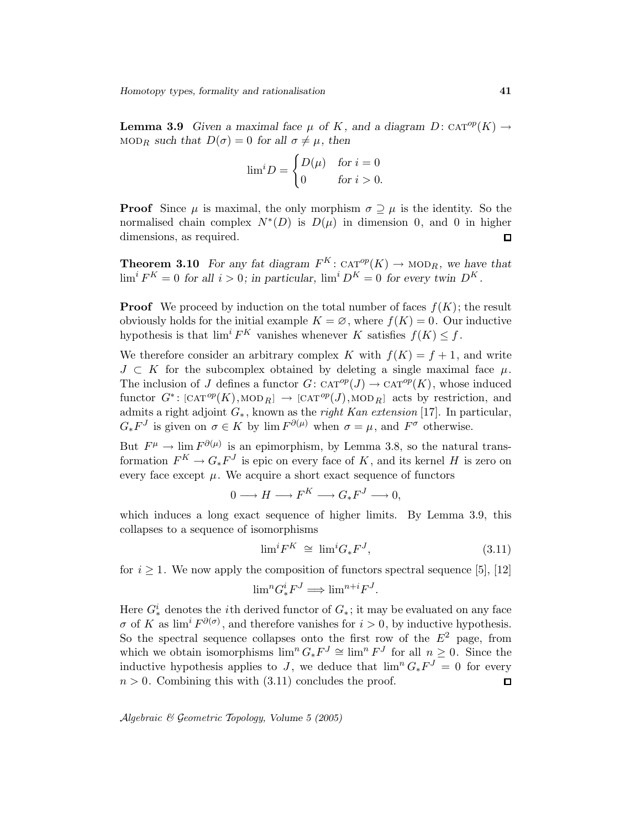**Lemma 3.9** Given a maximal face  $\mu$  of K, and a diagram  $D: \text{CAT}^{op}(K) \rightarrow$ MOD<sub>R</sub> such that  $D(\sigma) = 0$  for all  $\sigma \neq \mu$ , then

$$
\lim^{i} D = \begin{cases} D(\mu) & \text{for } i = 0 \\ 0 & \text{for } i > 0. \end{cases}
$$

**Proof** Since  $\mu$  is maximal, the only morphism  $\sigma \supseteq \mu$  is the identity. So the normalised chain complex  $N^*(D)$  is  $D(\mu)$  in dimension 0, and 0 in higher dimensions, as required.  $\Box$ 

**Theorem 3.10** For any fat diagram  $F^K$ :  $CAT^{op}(K) \to MOD_R$ , we have that  $\lim^{i} F^{K} = 0$  for all  $i > 0$ ; in particular,  $\lim^{i} D^{K} = 0$  for every twin  $D^{K}$ .

**Proof** We proceed by induction on the total number of faces  $f(K)$ ; the result obviously holds for the initial example  $K = \emptyset$ , where  $f(K) = 0$ . Our inductive hypothesis is that  $\lim^{i} F^{K}$  vanishes whenever K satisfies  $f(K) \leq f$ .

We therefore consider an arbitrary complex K with  $f(K) = f + 1$ , and write  $J \subset K$  for the subcomplex obtained by deleting a single maximal face  $\mu$ . The inclusion of J defines a functor  $G: \text{CAT}^{op}(J) \to \text{CAT}^{op}(K)$ , whose induced functor  $G^*: [\text{CAT}^{op}(K), \text{MOD}_R] \rightarrow [\text{CAT}^{op}(J), \text{MOD}_R]$  acts by restriction, and admits a right adjoint  $G_*$ , known as the *right Kan extension* [17]. In particular,  $G_*F^J$  is given on  $\sigma \in K$  by  $\lim F^{\partial(\mu)}$  when  $\sigma = \mu$ , and  $F^{\sigma}$  otherwise.

But  $F^{\mu} \to \lim F^{\partial(\mu)}$  is an epimorphism, by Lemma 3.8, so the natural transformation  $F^K \to G_*F^J$  is epic on every face of K, and its kernel H is zero on every face except  $\mu$ . We acquire a short exact sequence of functors

$$
0 \longrightarrow H \longrightarrow F^K \longrightarrow G_*F^J \longrightarrow 0,
$$

which induces a long exact sequence of higher limits. By Lemma 3.9, this collapses to a sequence of isomorphisms

$$
\lim^{i} F^{K} \cong \lim^{i} G_{*} F^{J}, \tag{3.11}
$$

for  $i \geq 1$ . We now apply the composition of functors spectral sequence [5], [12]

$$
\lim{}^{n}G^{i}_{*}F^{J} \Longrightarrow \lim{}^{n+i}F^{J}.
$$

Here  $G^i_*$  denotes the *i*<sup>th</sup> derived functor of  $G_*$ ; it may be evaluated on any face σ of K as  $\lim^i F^{\partial(\sigma)}$ , and therefore vanishes for  $i > 0$ , by inductive hypothesis. So the spectral sequence collapses onto the first row of the  $E^2$  page, from which we obtain isomorphisms  $\lim^n G_*F^J \cong \lim^n F^J$  for all  $n \geq 0$ . Since the inductive hypothesis applies to J, we deduce that  $\lim^n G_*F^J = 0$  for every  $n > 0$ . Combining this with  $(3.11)$  concludes the proof.  $\square$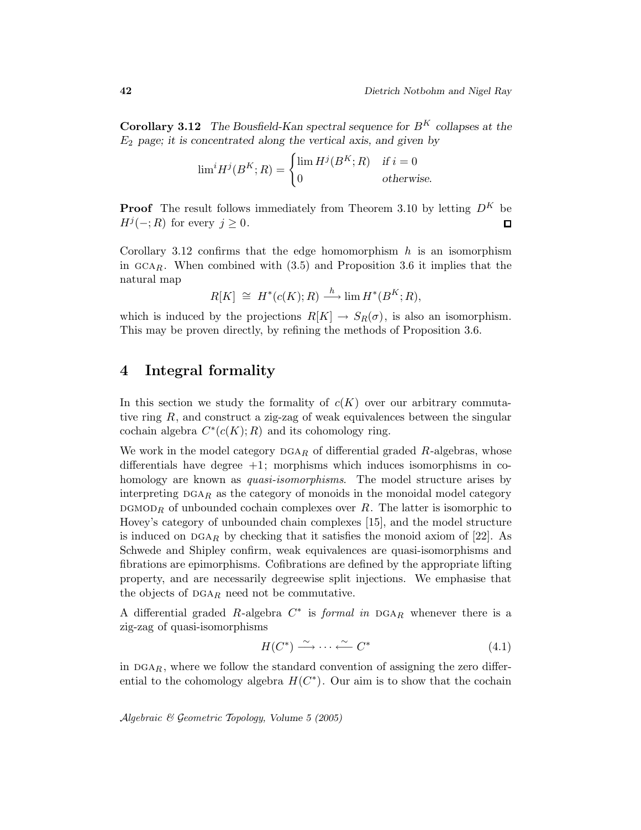**Corollary 3.12** The Bousfield-Kan spectral sequence for  $B^K$  collapses at the  $E_2$  page; it is concentrated along the vertical axis, and given by

$$
\lim^{i} H^{j}(B^{K}; R) = \begin{cases} \lim H^{j}(B^{K}; R) & \text{if } i = 0\\ 0 & \text{otherwise.} \end{cases}
$$

**Proof** The result follows immediately from Theorem 3.10 by letting  $D^{K}$  be  $H^{j}(-;R)$  for every  $j \geq 0$ .  $\Box$ 

Corollary 3.12 confirms that the edge homomorphism  $h$  is an isomorphism in  $GCA_R$ . When combined with  $(3.5)$  and Proposition 3.6 it implies that the natural map

$$
R[K] \cong H^*(c(K); R) \xrightarrow{h} \lim H^*(B^K; R),
$$

which is induced by the projections  $R[K] \to S_R(\sigma)$ , is also an isomorphism. This may be proven directly, by refining the methods of Proposition 3.6.

## 4 Integral formality

In this section we study the formality of  $c(K)$  over our arbitrary commutative ring  $R$ , and construct a zig-zag of weak equivalences between the singular cochain algebra  $C^*(c(K); R)$  and its cohomology ring.

We work in the model category  $DGA_R$  of differential graded R-algebras, whose differentials have degree  $+1$ ; morphisms which induces isomorphisms in cohomology are known as *quasi-isomorphisms*. The model structure arises by interpreting  $DGA_R$  as the category of monoids in the monoidal model category  $\mathbf{D} \mathbf{G} \mathbf{M} \mathbf{O} \mathbf{D}_R$  of unbounded cochain complexes over R. The latter is isomorphic to Hovey's category of unbounded chain complexes [15], and the model structure is induced on  $DGA_R$  by checking that it satisfies the monoid axiom of [22]. As Schwede and Shipley confirm, weak equivalences are quasi-isomorphisms and fibrations are epimorphisms. Cofibrations are defined by the appropriate lifting property, and are necessarily degreewise split injections. We emphasise that the objects of  $\text{DGA}_R$  need not be commutative.

A differential graded R-algebra  $C^*$  is *formal in*  $DGA_R$  whenever there is a zig-zag of quasi-isomorphisms

$$
H(C^*) \xrightarrow{\sim} \cdots \xleftarrow{\sim} C^* \tag{4.1}
$$

in  $\text{DGA}_R$ , where we follow the standard convention of assigning the zero differential to the cohomology algebra  $H(C^*)$ . Our aim is to show that the cochain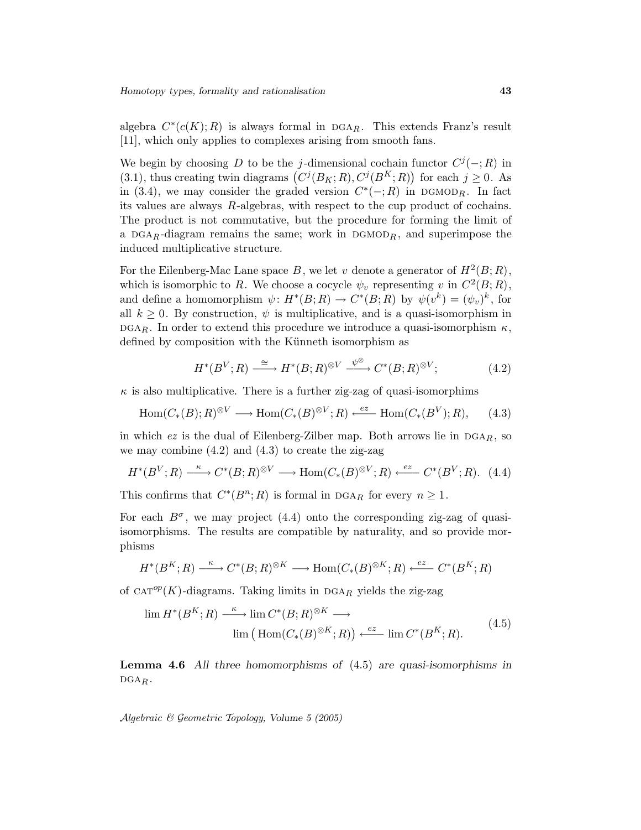algebra  $C^*(c(K); R)$  is always formal in DGAR. This extends Franz's result [11], which only applies to complexes arising from smooth fans.

We begin by choosing D to be the j-dimensional cochain functor  $C^{j}(-;R)$  in (3.1), thus creating twin diagrams  $(C^{j}(B_K; R), C^{j}(B^{K}; R))$  for each  $j \geq 0$ . As in (3.4), we may consider the graded version  $C^*(-;R)$  in DGMOD<sub>R</sub>. In fact its values are always R-algebras, with respect to the cup product of cochains. The product is not commutative, but the procedure for forming the limit of a DGAR-diagram remains the same; work in DGMOD<sub>R</sub>, and superimpose the induced multiplicative structure.

For the Eilenberg-Mac Lane space B, we let v denote a generator of  $H^2(B;R)$ , which is isomorphic to R. We choose a cocycle  $\psi_v$  representing v in  $C^2(B;R)$ , and define a homomorphism  $\psi: H^*(B;R) \to C^*(B;R)$  by  $\psi(v^k) = (\psi_v)^k$ , for all  $k \geq 0$ . By construction,  $\psi$  is multiplicative, and is a quasi-isomorphism in DGAR. In order to extend this procedure we introduce a quasi-isomorphism  $\kappa$ , defined by composition with the Künneth isomorphism as

$$
H^*(B^V;R) \xrightarrow{\cong} H^*(B;R)^{\otimes V} \xrightarrow{\psi^{\otimes}} C^*(B;R)^{\otimes V};\tag{4.2}
$$

 $\kappa$  is also multiplicative. There is a further zig-zag of quasi-isomorphims

$$
\text{Hom}(C_*(B);R)^{\otimes V} \longrightarrow \text{Hom}(C_*(B)^{\otimes V};R) \xleftarrow{ez} \text{Hom}(C_*(B^V);R), \qquad (4.3)
$$

in which ez is the dual of Eilenberg-Zilber map. Both arrows lie in  $DGA_R$ , so we may combine  $(4.2)$  and  $(4.3)$  to create the zig-zag

$$
H^*(B^V;R) \xrightarrow{\kappa} C^*(B;R)^{\otimes V} \longrightarrow \text{Hom}(C_*(B)^{\otimes V};R) \xleftarrow{ez} C^*(B^V;R). \tag{4.4}
$$

This confirms that  $C^*(B^n;R)$  is formal in DGA<sub>R</sub> for every  $n \geq 1$ .

For each  $B^{\sigma}$ , we may project (4.4) onto the corresponding zig-zag of quasiisomorphisms. The results are compatible by naturality, and so provide morphisms

$$
H^*(B^K;R) \xrightarrow{\kappa} C^*(B;R)^{\otimes K} \longrightarrow \text{Hom}(C_*(B)^{\otimes K};R) \xleftarrow{ez} C^*(B^K;R)
$$

of  $CAT^{op}(K)$ -diagrams. Taking limits in DGAR yields the zig-zag

$$
\lim H^*(B^K;R) \xrightarrow{\kappa} \lim C^*(B;R)^{\otimes K} \longrightarrow
$$
  

$$
\lim \left( \operatorname{Hom}(C_*(B)^{\otimes K};R) \right) \xleftarrow{ez} \lim C^*(B^K;R).
$$
 (4.5)

**Lemma 4.6** All three homomorphisms of (4.5) are quasi-isomorphisms in  $DGA_R$ .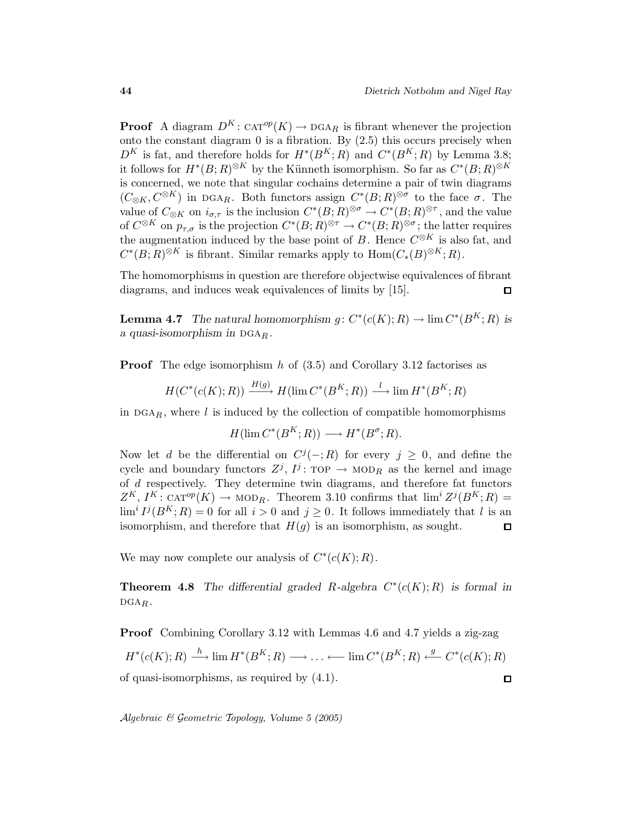**Proof** A diagram  $D^K$ :  $CAT^{op}(K) \rightarrow DGA_R$  is fibrant whenever the projection onto the constant diagram  $0$  is a fibration. By  $(2.5)$  this occurs precisely when  $D^{K}$  is fat, and therefore holds for  $H^{*}(B^{K};R)$  and  $C^{*}(B^{K};R)$  by Lemma 3.8; it follows for  $H^*(B;R)^{\otimes K}$  by the Künneth isomorphism. So far as  $C^*(B;R)^{\otimes K}$ is concerned, we note that singular cochains determine a pair of twin diagrams  $(C_{\otimes K}, C^{\otimes K})$  in DGAR. Both functors assign  $C^*(B;R)^{\otimes \sigma}$  to the face  $\sigma$ . The value of  $C_{\otimes K}$  on  $i_{\sigma,\tau}$  is the inclusion  $C^*(B;R)^{\otimes \sigma} \to C^*(B;R)^{\otimes \tau}$ , and the value of  $C^{\otimes K}$  on  $p_{\tau,\sigma}$  is the projection  $C^*(B;R)^{\otimes \tau} \to C^*(B;R)^{\otimes \sigma}$ ; the latter requires the augmentation induced by the base point of B. Hence  $C^{\otimes K}$  is also fat, and  $C^*(B;R)^{\otimes K}$  is fibrant. Similar remarks apply to  $\text{Hom}(C_*(B)^{\otimes K};R)$ .

The homomorphisms in question are therefore objectwise equivalences of fibrant diagrams, and induces weak equivalences of limits by [15].  $\Box$ 

**Lemma 4.7** The natural homomorphism  $g: C^*(c(K); R) \to \lim C^*(B^K; R)$  is a quasi-isomorphism in  $\mathrm{DGA}_R$ .

**Proof** The edge isomorphism h of  $(3.5)$  and Corollary 3.12 factorises as

 $H(C^*(c(K); R)) \xrightarrow{H(g)} H(\lim C^*(B^K; R)) \xrightarrow{l} \lim H^*(B^K; R)$ 

in  $DGA_R$ , where l is induced by the collection of compatible homomorphisms

 $H(\lim C^*(B^K;R)) \longrightarrow H^*(B^{\sigma};R).$ 

Now let d be the differential on  $C^{j}(-;R)$  for every  $j \geq 0$ , and define the cycle and boundary functors  $Z^j$ ,  $I^j$ : TOP  $\rightarrow$  MOD<sub>R</sub> as the kernel and image of d respectively. They determine twin diagrams, and therefore fat functors  $Z^K$ ,  $I^K$ : CAT<sup>op</sup>(K)  $\rightarrow$  MOD<sub>R</sub>. Theorem 3.10 confirms that  $\lim^i Z^j(B^K;R)$  =  $\lim^{i} I^{j}(B^{K};R) = 0$  for all  $i > 0$  and  $j \geq 0$ . It follows immediately that l is an isomorphism, and therefore that  $H(q)$  is an isomorphism, as sought.  $\Box$ 

We may now complete our analysis of  $C^*(c(K); R)$ .

**Theorem 4.8** The differential graded R-algebra  $C^*(c(K); R)$  is formal in  $DGA_R$ .

Proof Combining Corollary 3.12 with Lemmas 4.6 and 4.7 yields a zig-zag  $H^*(c(K); R) \longrightarrow \lim H^*(B^K; R) \longrightarrow \ldots \longleftarrow \lim C^*(B^K; R) \longleftarrow C^*(c(K); R)$ of quasi-isomorphisms, as required by (4.1).  $\Box$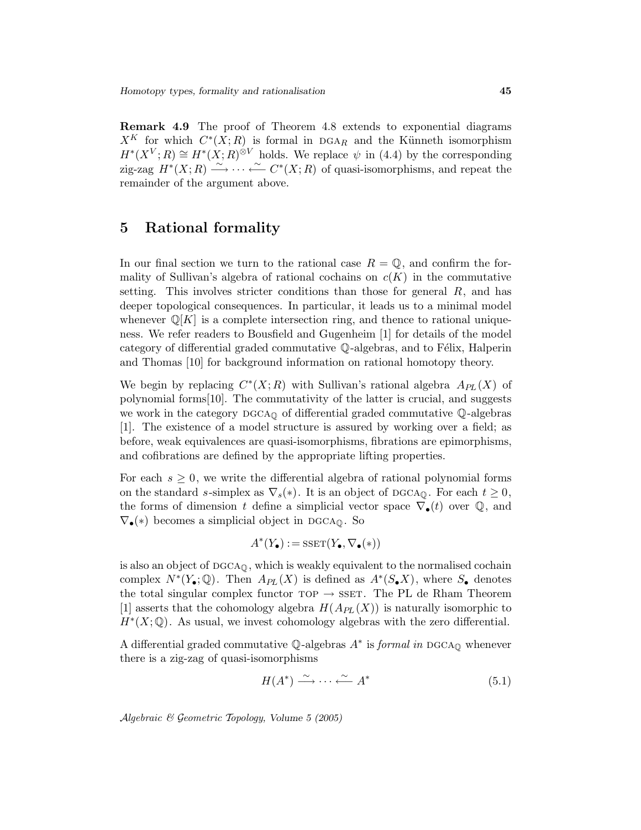Remark 4.9 The proof of Theorem 4.8 extends to exponential diagrams  $X^K$  for which  $C^*(X;R)$  is formal in DGAR and the Künneth isomorphism  $H^*(X^V;R) \cong H^*(X;R)^{\otimes V}$  holds. We replace  $\psi$  in (4.4) by the corresponding zig-zag  $H^*(X;R) \stackrel{\sim}{\longrightarrow} \cdots \stackrel{\sim}{\longleftarrow} C^*(X;R)$  of quasi-isomorphisms, and repeat the remainder of the argument above.

#### 5 Rational formality

In our final section we turn to the rational case  $R = \mathbb{Q}$ , and confirm the formality of Sullivan's algebra of rational cochains on  $c(K)$  in the commutative setting. This involves stricter conditions than those for general  $R$ , and has deeper topological consequences. In particular, it leads us to a minimal model whenever  $\mathbb{Q}[K]$  is a complete intersection ring, and thence to rational uniqueness. We refer readers to Bousfield and Gugenheim [1] for details of the model category of differential graded commutative  $\mathbb Q$ -algebras, and to Félix, Halperin and Thomas [10] for background information on rational homotopy theory.

We begin by replacing  $C^*(X;R)$  with Sullivan's rational algebra  $A_{PL}(X)$  of polynomial forms[10]. The commutativity of the latter is crucial, and suggests we work in the category  $DGCA_{\mathbb{Q}}$  of differential graded commutative  $\mathbb{Q}$ -algebras [1]. The existence of a model structure is assured by working over a field; as before, weak equivalences are quasi-isomorphisms, fibrations are epimorphisms, and cofibrations are defined by the appropriate lifting properties.

For each  $s \geq 0$ , we write the differential algebra of rational polynomial forms on the standard s-simplex as  $\nabla_s(*)$ . It is an object of DGCA<sub>Q</sub>. For each  $t \geq 0$ , the forms of dimension t define a simplicial vector space  $\nabla_{\bullet}(t)$  over  $\mathbb{Q}$ , and  $\nabla_{\bullet}(*)$  becomes a simplicial object in DGCA<sub> $\odot$ </sub>. So

$$
A^*(Y_\bullet) := \text{SSET}(Y_\bullet, \nabla_\bullet(*))
$$

is also an object of  $DGCA<sub>0</sub>$ , which is weakly equivalent to the normalised cochain complex  $N^*(Y_{\bullet}; \mathbb{Q})$ . Then  $A_{PL}(X)$  is defined as  $A^*(S_{\bullet}X)$ , where  $S_{\bullet}$  denotes the total singular complex functor  $\text{top} \rightarrow \text{SSET}$ . The PL de Rham Theorem [1] asserts that the cohomology algebra  $H(A_{PL}(X))$  is naturally isomorphic to  $H^*(X; \mathbb{Q})$ . As usual, we invest cohomology algebras with the zero differential.

A differential graded commutative  $\mathbb{Q}$ -algebras  $A^*$  is *formal in* DGCA<sub>Q</sub> whenever there is a zig-zag of quasi-isomorphisms

$$
H(A^*) \xrightarrow{\sim} \cdots \xleftarrow{\sim} A^*
$$
 (5.1)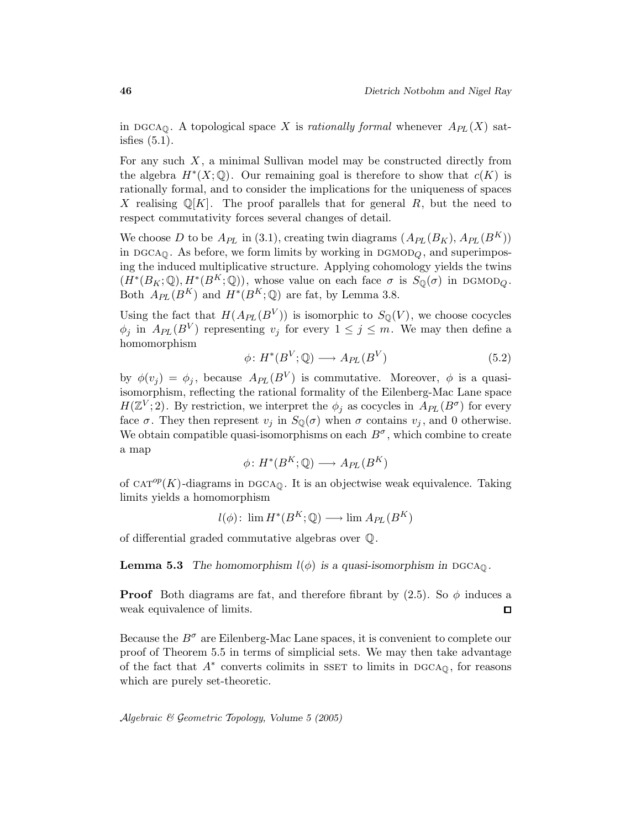in DGCA<sub>Q</sub>. A topological space X is rationally formal whenever  $A_{PL}(X)$  satisfies  $(5.1)$ .

For any such  $X$ , a minimal Sullivan model may be constructed directly from the algebra  $H^*(X; \mathbb{Q})$ . Our remaining goal is therefore to show that  $c(K)$  is rationally formal, and to consider the implications for the uniqueness of spaces X realising  $\mathbb{Q}[K]$ . The proof parallels that for general R, but the need to respect commutativity forces several changes of detail.

We choose D to be  $A_{PL}$  in (3.1), creating twin diagrams  $(A_{PL}(B_K), A_{PL}(B^K))$ in DGCA $_{\mathbb{Q}}$ . As before, we form limits by working in DGMOD<sub> $_{Q}$ </sub>, and superimposing the induced multiplicative structure. Applying cohomology yields the twins  $(H^*(B_K; \mathbb{Q}), H^*(B^K; \mathbb{Q}))$ , whose value on each face  $\sigma$  is  $S_{\mathbb{Q}}(\sigma)$  in DGMOD<sub>Q</sub>. Both  $A_{PL}(B^K)$  and  $H^*(B^K; \mathbb{Q})$  are fat, by Lemma 3.8.

Using the fact that  $H(A_{PL}(B^V))$  is isomorphic to  $S_{\mathbb{Q}}(V)$ , we choose cocycles  $\phi_j$  in  $A_{PL}(B^V)$  representing  $v_j$  for every  $1 \leq j \leq m$ . We may then define a homomorphism

$$
\phi \colon H^*(B^V; \mathbb{Q}) \longrightarrow A_{PL}(B^V) \tag{5.2}
$$

by  $\phi(v_j) = \phi_j$ , because  $A_{PL}(B^V)$  is commutative. Moreover,  $\phi$  is a quasiisomorphism, reflecting the rational formality of the Eilenberg-Mac Lane space  $H(\mathbb{Z}^V;2)$ . By restriction, we interpret the  $\phi_j$  as cocycles in  $A_{PL}(B^{\sigma})$  for every face  $\sigma$ . They then represent  $v_i$  in  $S_{\mathbb{Q}}(\sigma)$  when  $\sigma$  contains  $v_i$ , and 0 otherwise. We obtain compatible quasi-isomorphisms on each  $B^{\sigma}$ , which combine to create a map

$$
\phi \colon H^*(B^K; \mathbb{Q}) \longrightarrow A_{PL}(B^K)
$$

of CAT<sup>op</sup>(K)-diagrams in DGCA<sub>Q</sub>. It is an objectwise weak equivalence. Taking limits yields a homomorphism

 $l(\phi)$ :  $\lim H^*(B^K; \mathbb{Q}) \longrightarrow \lim A_{PL}(B^K)$ 

of differential graded commutative algebras over Q.

**Lemma 5.3** The homomorphism  $l(\phi)$  is a quasi-isomorphism in DGCA $_0$ .

**Proof** Both diagrams are fat, and therefore fibrant by  $(2.5)$ . So  $\phi$  induces a weak equivalence of limits.  $\Box$ 

Because the  $B^{\sigma}$  are Eilenberg-Mac Lane spaces, it is convenient to complete our proof of Theorem 5.5 in terms of simplicial sets. We may then take advantage of the fact that  $A^*$  converts colimits in SSET to limits in DGCA $_{\mathbb{Q}}$ , for reasons which are purely set-theoretic.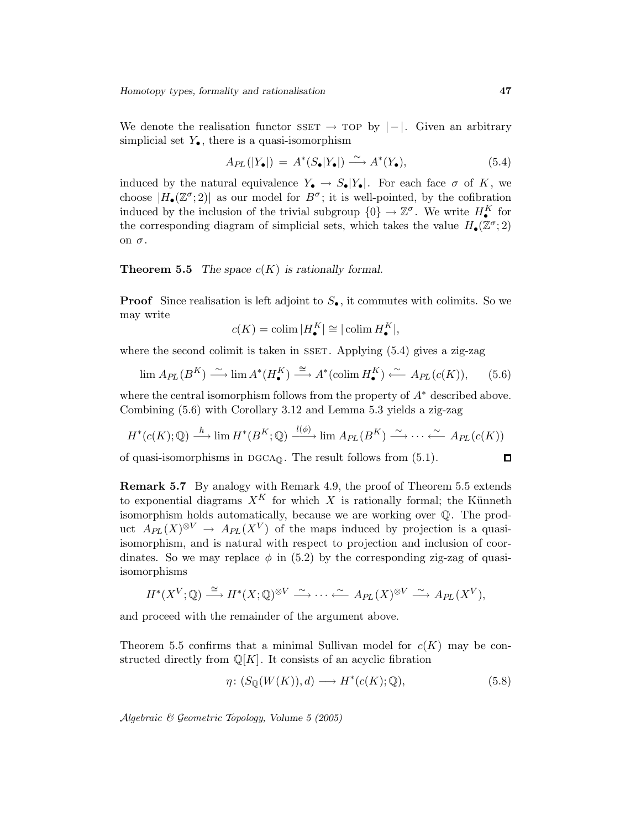We denote the realisation functor  $SSET \rightarrow TOP$  by  $|-|$ . Given an arbitrary simplicial set  $Y_{\bullet}$ , there is a quasi-isomorphism

$$
A_{PL}(|Y_{\bullet}|) = A^*(S_{\bullet}|Y_{\bullet}|) \xrightarrow{\sim} A^*(Y_{\bullet}), \tag{5.4}
$$

induced by the natural equivalence  $Y_{\bullet} \to S_{\bullet}|Y_{\bullet}|$ . For each face  $\sigma$  of K, we choose  $|H_{\bullet}(\mathbb{Z}^{\sigma};2)|$  as our model for  $B^{\sigma}$ ; it is well-pointed, by the cofibration induced by the inclusion of the trivial subgroup  $\{0\} \to \mathbb{Z}^{\sigma}$ . We write  $H_{\bullet}^{K}$  for the corresponding diagram of simplicial sets, which takes the value  $H_{\bullet}(\mathbb{Z}^{\sigma};2)$ on  $\sigma$ .

#### **Theorem 5.5** The space  $c(K)$  is rationally formal.

**Proof** Since realisation is left adjoint to  $S_{\bullet}$ , it commutes with colimits. So we may write

$$
c(K)=\operatornamewithlimits{colim}|H_\bullet^K|\cong|\operatornamewithlimits{colim} H_\bullet^K|,
$$

where the second colimit is taken in SSET. Applying  $(5.4)$  gives a zig-zag

$$
\lim_{\longrightarrow} A_{PL}(B^K) \xrightarrow{\sim} \lim_{\longrightarrow} A^*(H^K_{\bullet}) \xrightarrow{\cong} A^*(\text{colim } H^K_{\bullet}) \xleftarrow{\sim} A_{PL}(c(K)), \qquad (5.6)
$$

where the central isomorphism follows from the property of  $A^*$  described above. Combining (5.6) with Corollary 3.12 and Lemma 5.3 yields a zig-zag

$$
H^*(c(K); \mathbb{Q}) \xrightarrow{h} \lim H^*(B^K; \mathbb{Q}) \xrightarrow{l(\phi)} \lim A_{PL}(B^K) \xrightarrow{\sim} \cdots \xrightarrow{\sim} A_{PL}(c(K))
$$

of quasi-isomorphisms in  $DGCA<sub>0</sub>$ . The result follows from  $(5.1)$ .

Remark 5.7 By analogy with Remark 4.9, the proof of Theorem 5.5 extends to exponential diagrams  $X^K$  for which X is rationally formal; the Künneth isomorphism holds automatically, because we are working over Q. The product  $A_{PL}(X)^{\otimes V} \to A_{PL}(X^V)$  of the maps induced by projection is a quasiisomorphism, and is natural with respect to projection and inclusion of coordinates. So we may replace  $\phi$  in (5.2) by the corresponding zig-zag of quasiisomorphisms

$$
H^*(X^V;\mathbb{Q}) \stackrel{\cong}{\longrightarrow} H^*(X;\mathbb{Q})^{\otimes V} \stackrel{\sim}{\longrightarrow} \cdots \stackrel{\sim}{\longleftarrow} Ap_L(X)^{\otimes V} \stackrel{\sim}{\longrightarrow} Ap_L(X^V),
$$

and proceed with the remainder of the argument above.

Theorem 5.5 confirms that a minimal Sullivan model for  $c(K)$  may be constructed directly from  $\mathbb{Q}[K]$ . It consists of an acyclic fibration

$$
\eta \colon (S_{\mathbb{Q}}(W(K)), d) \longrightarrow H^*(c(K); \mathbb{Q}), \tag{5.8}
$$

Algebraic & Geometric Topology, Volume 5 (2005)

 $\Box$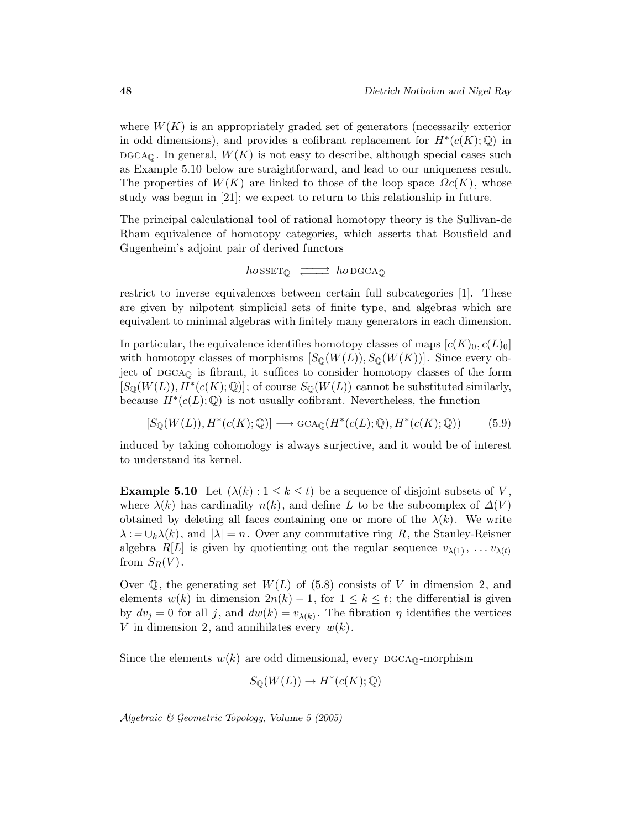where  $W(K)$  is an appropriately graded set of generators (necessarily exterior in odd dimensions), and provides a cofibrant replacement for  $H^*(c(K);\mathbb{Q})$  in  $\mathrm{DGCA}_\mathbb{O}$ . In general,  $W(K)$  is not easy to describe, although special cases such as Example 5.10 below are straightforward, and lead to our uniqueness result. The properties of  $W(K)$  are linked to those of the loop space  $\Omega c(K)$ , whose study was begun in [21]; we expect to return to this relationship in future.

The principal calculational tool of rational homotopy theory is the Sullivan-de Rham equivalence of homotopy categories, which asserts that Bousfield and Gugenheim's adjoint pair of derived functors

$$
\mathit{ho}\, \mathit{sset}_\mathbb{Q} \; \xrightarrow{\hspace{0.5cm}} \mathit{ho}\, \mathit{d} \mathit{cap}
$$

restrict to inverse equivalences between certain full subcategories [1]. These are given by nilpotent simplicial sets of finite type, and algebras which are equivalent to minimal algebras with finitely many generators in each dimension.

In particular, the equivalence identifies homotopy classes of maps  $[c(K)_0,c(L)_0]$ with homotopy classes of morphisms  $[S_{\mathbb{Q}}(W(L)), S_{\mathbb{Q}}(W(K))]$ . Since every object of  $DGCA<sub>Q</sub>$  is fibrant, it suffices to consider homotopy classes of the form  $[S_{\mathbb{Q}}(W(L)), H^*(c(K); \mathbb{Q})]$ ; of course  $S_{\mathbb{Q}}(W(L))$  cannot be substituted similarly, because  $H^*(c(L); \mathbb{Q})$  is not usually cofibrant. Nevertheless, the function

$$
[S_{\mathbb{Q}}(W(L)), H^*(c(K); \mathbb{Q})] \longrightarrow \text{GCA}_{\mathbb{Q}}(H^*(c(L); \mathbb{Q}), H^*(c(K); \mathbb{Q})) \tag{5.9}
$$

induced by taking cohomology is always surjective, and it would be of interest to understand its kernel.

**Example 5.10** Let  $(\lambda(k): 1 \leq k \leq t)$  be a sequence of disjoint subsets of V, where  $\lambda(k)$  has cardinality  $n(k)$ , and define L to be the subcomplex of  $\Delta(V)$ obtained by deleting all faces containing one or more of the  $\lambda(k)$ . We write  $\lambda := \bigcup_k \lambda(k)$ , and  $|\lambda| = n$ . Over any commutative ring R, the Stanley-Reisner algebra  $R[L]$  is given by quotienting out the regular sequence  $v_{\lambda(1)}, \ldots v_{\lambda(t)}$ from  $S_R(V)$ .

Over  $\mathbb{Q}$ , the generating set  $W(L)$  of (5.8) consists of V in dimension 2, and elements  $w(k)$  in dimension  $2n(k) - 1$ , for  $1 \leq k \leq t$ ; the differential is given by  $dv_j = 0$  for all j, and  $dw(k) = v_{\lambda(k)}$ . The fibration  $\eta$  identifies the vertices V in dimension 2, and annihilates every  $w(k)$ .

Since the elements  $w(k)$  are odd dimensional, every DGCA<sub>Q</sub>-morphism

$$
S_{\mathbb{Q}}(W(L)) \to H^*(c(K); \mathbb{Q})
$$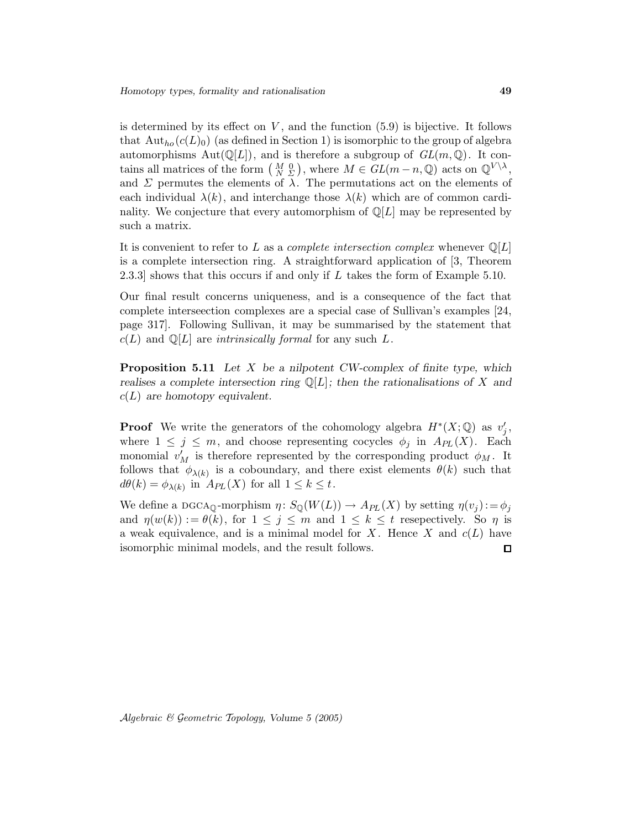is determined by its effect on  $V$ , and the function  $(5.9)$  is bijective. It follows that  $\text{Aut}_{ho}(c(L_0))$  (as defined in Section 1) is isomorphic to the group of algebra automorphisms  $Aut(\mathbb{Q}[L])$ , and is therefore a subgroup of  $GL(m, \mathbb{Q})$ . It contains all matrices of the form  $\left(\begin{array}{c} M & 0 \\ N & \Sigma \end{array}\right)$ , where  $M \in GL(m-n, \mathbb{Q})$  acts on  $\mathbb{Q}^{V \setminus \lambda}$ , and  $\Sigma$  permutes the elements of  $\lambda$ . The permutations act on the elements of each individual  $\lambda(k)$ , and interchange those  $\lambda(k)$  which are of common cardinality. We conjecture that every automorphism of  $\mathbb{Q}[L]$  may be represented by such a matrix.

It is convenient to refer to L as a *complete intersection complex* whenever  $\mathbb{Q}[L]$ is a complete intersection ring. A straightforward application of [3, Theorem 2.3.3] shows that this occurs if and only if L takes the form of Example 5.10.

Our final result concerns uniqueness, and is a consequence of the fact that complete interseection complexes are a special case of Sullivan's examples [24, page 317]. Following Sullivan, it may be summarised by the statement that  $c(L)$  and  $\mathbb{Q}[L]$  are *intrinsically formal* for any such L.

**Proposition 5.11** Let  $X$  be a nilpotent CW-complex of finite type, which realises a complete intersection ring  $\mathbb{Q}[L]$ ; then the rationalisations of X and  $c(L)$  are homotopy equivalent.

**Proof** We write the generators of the cohomology algebra  $H^*(X; \mathbb{Q})$  as  $v'_j$ , where  $1 \leq j \leq m$ , and choose representing cocycles  $\phi_j$  in  $A_{PL}(X)$ . Each monomial  $v'_M$  is therefore represented by the corresponding product  $\phi_M$ . It follows that  $\phi_{\lambda(k)}$  is a coboundary, and there exist elements  $\theta(k)$  such that  $d\theta(k) = \phi_{\lambda(k)}$  in  $A_{PL}(X)$  for all  $1 \leq k \leq t$ .

We define a DGCA<sub>Q</sub>-morphism  $\eta \colon S_{\mathbb{Q}}(W(L)) \to A_{PL}(X)$  by setting  $\eta(v_j) := \phi_j$ and  $\eta(w(k)) := \theta(k)$ , for  $1 \leq j \leq m$  and  $1 \leq k \leq t$  resepectively. So  $\eta$  is a weak equivalence, and is a minimal model for X. Hence X and  $c(L)$  have isomorphic minimal models, and the result follows.  $\Box$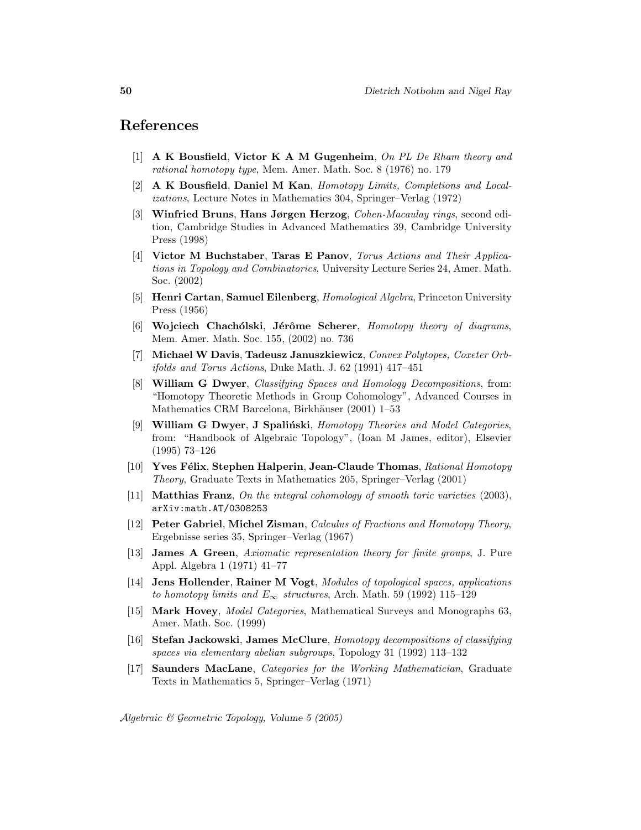# References

- [1] A K Bousfield, Victor K A M Gugenheim, On PL De Rham theory and rational homotopy type, Mem. Amer. Math. Soc. 8 (1976) no. 179
- [2] A K Bousfield, Daniel M Kan, Homotopy Limits, Completions and Localizations, Lecture Notes in Mathematics 304, Springer–Verlag (1972)
- [3] Winfried Bruns, Hans Jørgen Herzog, Cohen-Macaulay rings, second edition, Cambridge Studies in Advanced Mathematics 39, Cambridge University Press (1998)
- [4] Victor M Buchstaber, Taras E Panov, Torus Actions and Their Applications in Topology and Combinatorics, University Lecture Series 24, Amer. Math. Soc. (2002)
- [5] Henri Cartan, Samuel Eilenberg, *Homological Algebra*, Princeton University Press (1956)
- [6] Wojciech Chachólski, Jérôme Scherer, Homotopy theory of diagrams, Mem. Amer. Math. Soc. 155, (2002) no. 736
- [7] Michael W Davis, Tadeusz Januszkiewicz, Convex Polytopes, Coxeter Orbifolds and Torus Actions, Duke Math. J. 62 (1991) 417–451
- [8] William G Dwyer, Classifying Spaces and Homology Decompositions, from: "Homotopy Theoretic Methods in Group Cohomology", Advanced Courses in Mathematics CRM Barcelona, Birkhäuser (2001) 1–53
- [9] William G Dwyer, J Spaliński, Homotopy Theories and Model Categories, from: "Handbook of Algebraic Topology", (Ioan M James, editor), Elsevier (1995) 73–126
- [10] Yves Félix, Stephen Halperin, Jean-Claude Thomas, Rational Homotopy Theory, Graduate Texts in Mathematics 205, Springer–Verlag (2001)
- [11] Matthias Franz, On the integral cohomology of smooth toric varieties (2003), arXiv:math.AT/0308253
- [12] Peter Gabriel, Michel Zisman, Calculus of Fractions and Homotopy Theory, Ergebnisse series 35, Springer–Verlag (1967)
- [13] James A Green, Axiomatic representation theory for finite groups, J. Pure Appl. Algebra 1 (1971) 41–77
- [14] Jens Hollender, Rainer M Vogt, Modules of topological spaces, applications to homotopy limits and  $E_{\infty}$  structures, Arch. Math. 59 (1992) 115–129
- [15] Mark Hovey, Model Categories, Mathematical Surveys and Monographs 63, Amer. Math. Soc. (1999)
- [16] Stefan Jackowski, James McClure, Homotopy decompositions of classifying spaces via elementary abelian subgroups, Topology 31 (1992) 113–132
- [17] Saunders MacLane, Categories for the Working Mathematician, Graduate Texts in Mathematics 5, Springer–Verlag (1971)